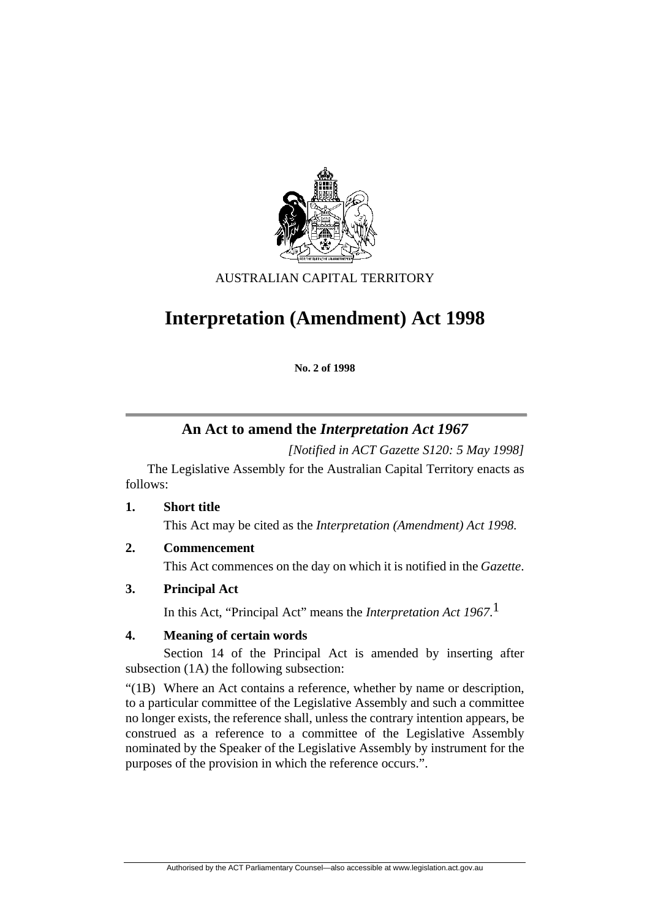

AUSTRALIAN CAPITAL TERRITORY

# **Interpretation (Amendment) Act 1998**

**No. 2 of 1998** 

## **An Act to amend the** *Interpretation Act 1967*

*[Notified in ACT Gazette S120: 5 May 1998]*

 The Legislative Assembly for the Australian Capital Territory enacts as follows:

**1. Short title** 

This Act may be cited as the *Interpretation (Amendment) Act 1998.*

**2. Commencement** 

This Act commences on the day on which it is notified in the *Gazette*.

**3. Principal Act** 

In this Act, "Principal Act" means the *Interpretation Act 1967*. 1

## **4. Meaning of certain words**

 Section 14 of the Principal Act is amended by inserting after subsection (1A) the following subsection:

"(1B) Where an Act contains a reference, whether by name or description, to a particular committee of the Legislative Assembly and such a committee no longer exists, the reference shall, unless the contrary intention appears, be construed as a reference to a committee of the Legislative Assembly nominated by the Speaker of the Legislative Assembly by instrument for the purposes of the provision in which the reference occurs.".